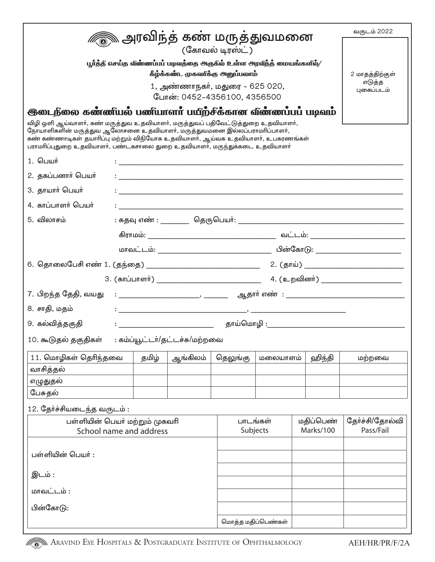| <i>▒</i> அரவிந்த் கண் மருத்துவமனை<br>(கோவல் டிரஸ்ட்)                                                                                                                                                                                                                                                                         |                                                                                                                       |       |                                                                     |                                                |          | வருடம் 2022                 |        |  |
|------------------------------------------------------------------------------------------------------------------------------------------------------------------------------------------------------------------------------------------------------------------------------------------------------------------------------|-----------------------------------------------------------------------------------------------------------------------|-------|---------------------------------------------------------------------|------------------------------------------------|----------|-----------------------------|--------|--|
|                                                                                                                                                                                                                                                                                                                              |                                                                                                                       |       |                                                                     |                                                |          |                             |        |  |
|                                                                                                                                                                                                                                                                                                                              |                                                                                                                       |       | பூர்த்த எசய்த வீண்ணப்பப் படிவத்தை அருகீல் உள்ள அரவீந்த் மையங்களில்/ |                                                |          |                             |        |  |
| கீழ்க்கண்ட முகவாக்கு அனுப்பலாம்                                                                                                                                                                                                                                                                                              |                                                                                                                       |       |                                                                     |                                                |          | 2 மாதத்திற்குள்             |        |  |
| 1, அண்ணாநகா், மதுரை – 625 020,                                                                                                                                                                                                                                                                                               |                                                                                                                       |       |                                                                     |                                                |          | எடுத்த<br>புகைப்படம்        |        |  |
| போன்: 0452-4356100, 4356500<br><del>இ</del> டைநீலை கண்ணீயல் பணீயாளா பயீற்சீக்கான வீண்ணப்பப் படிவம்                                                                                                                                                                                                                           |                                                                                                                       |       |                                                                     |                                                |          |                             |        |  |
| விழி ஒளி ஆய்வாளா், கண் மருத்துவ உதவியாளா், மருத்துவப் பதிவேட்டுத்துறை உதவியாளா்,<br>நோயாளிகளின் மருத்துவ ஆலோசனை உதவியாளா், மருத்துவமனை இல்லப்பராமாிப்பாளா்,<br>கண் கண்ணாடிகள் தயாரிப்பு மற்றும் விநியோக உதவியாளா், ஆய்வக உதவியாளா், உபகரணங்கள்<br>பராமாிப்புதுறை உதவியாளா், பண்டகசாலை துறை உதவியாளா், மருந்துக்கடை உதவியாளா் |                                                                                                                       |       |                                                                     |                                                |          |                             |        |  |
| 1. பெயர்                                                                                                                                                                                                                                                                                                                     |                                                                                                                       |       | <u> 1989 - Johann Stoff, amerikansk politiker (d. 1989)</u>         |                                                |          |                             |        |  |
| 2. தகப்பனார் பெயர்                                                                                                                                                                                                                                                                                                           | <u> 1980 - Johann Johann Stoff, deutscher Stoffen und der Stoffen und der Stoffen und der Stoffen und der Stoffen</u> |       |                                                                     |                                                |          |                             |        |  |
| 3. தாயார் பெயர்                                                                                                                                                                                                                                                                                                              |                                                                                                                       |       |                                                                     |                                                |          |                             |        |  |
| 4. காப்பாளர் பெயர்                                                                                                                                                                                                                                                                                                           |                                                                                                                       |       |                                                                     |                                                |          |                             |        |  |
| 5. விலாசம்                                                                                                                                                                                                                                                                                                                   |                                                                                                                       |       |                                                                     |                                                |          |                             |        |  |
|                                                                                                                                                                                                                                                                                                                              |                                                                                                                       |       |                                                                     |                                                |          |                             |        |  |
|                                                                                                                                                                                                                                                                                                                              |                                                                                                                       |       |                                                                     |                                                |          |                             |        |  |
|                                                                                                                                                                                                                                                                                                                              |                                                                                                                       |       |                                                                     |                                                |          |                             |        |  |
|                                                                                                                                                                                                                                                                                                                              |                                                                                                                       |       |                                                                     |                                                |          |                             |        |  |
| 7. பிறந்த தேதி, வயது                                                                                                                                                                                                                                                                                                         |                                                                                                                       |       |                                                                     |                                                |          |                             |        |  |
| 8. சாதி, மதம்                                                                                                                                                                                                                                                                                                                |                                                                                                                       |       |                                                                     |                                                |          |                             |        |  |
| 9. கல்வித்தகுதி                                                                                                                                                                                                                                                                                                              |                                                                                                                       |       |                                                                     |                                                |          |                             |        |  |
| 10. கூடுதல் தகுதிகள் : கம்ப்யூட்டா்/தட்டச்சு/மற்றவை                                                                                                                                                                                                                                                                          |                                                                                                                       |       |                                                                     |                                                |          |                             |        |  |
| 11. மொழிகள் தெரிந்தவை                                                                                                                                                                                                                                                                                                        |                                                                                                                       | தமிழ் | ஆங்கிலம்                                                            | தெலுங்கு                                       | மலையாளம் | ஹிந்தி                      | மற்றவை |  |
| வாசித்தல்                                                                                                                                                                                                                                                                                                                    |                                                                                                                       |       |                                                                     |                                                |          |                             |        |  |
| எழுதுதல்                                                                                                                                                                                                                                                                                                                     |                                                                                                                       |       |                                                                     |                                                |          |                             |        |  |
| பேசுதல்                                                                                                                                                                                                                                                                                                                      |                                                                                                                       |       |                                                                     |                                                |          |                             |        |  |
| 12. தேர்ச்சியடைந்த வருடம்:                                                                                                                                                                                                                                                                                                   |                                                                                                                       |       |                                                                     |                                                |          |                             |        |  |
| பள்ளியின் பெயா் மற்றும் முகவாி<br>School name and address                                                                                                                                                                                                                                                                    |                                                                                                                       |       |                                                                     | பாடங்கள்<br>மதிப்பெண்<br>Marks/100<br>Subjects |          | தோ்ச்சி/தோல்வி<br>Pass/Fail |        |  |
|                                                                                                                                                                                                                                                                                                                              |                                                                                                                       |       |                                                                     |                                                |          |                             |        |  |
| பள்ளியின் பெயா் :                                                                                                                                                                                                                                                                                                            |                                                                                                                       |       |                                                                     |                                                |          |                             |        |  |
| இடம் :                                                                                                                                                                                                                                                                                                                       |                                                                                                                       |       |                                                                     |                                                |          |                             |        |  |
| மாவட்டம் :                                                                                                                                                                                                                                                                                                                   |                                                                                                                       |       |                                                                     |                                                |          |                             |        |  |
| பின்கோடு:                                                                                                                                                                                                                                                                                                                    |                                                                                                                       |       |                                                                     |                                                |          |                             |        |  |
|                                                                                                                                                                                                                                                                                                                              |                                                                                                                       |       |                                                                     | மொத்த மதிப்பெண்கள்                             |          |                             |        |  |